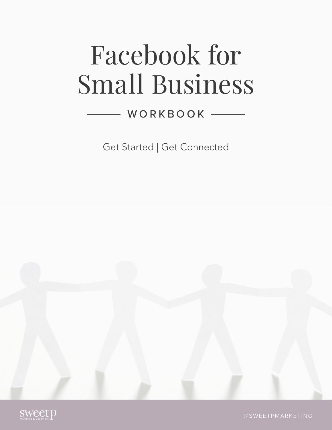# Facebook for Small Business

### WORKBOOK -

Get Started | Get Connected

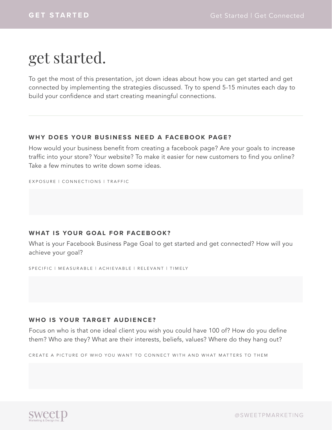### get started.

To get the most of this presentation, jot down ideas about how you can get started and get connected by implementing the strategies discussed. Try to spend 5-15 minutes each day to build your confidence and start creating meaningful connections.

#### **WHY DOES YOUR BUSINESS NEED A FACEBOOK PAGE?**

How would your business benefit from creating a facebook page? Are your goals to increase traffic into your store? Your website? To make it easier for new customers to find you online? Take a few minutes to write down some ideas.

EXPOSURE | CONNECTIONS | TRAFFIC

#### **WHAT IS YOUR GOAL FOR FACEBOOK?**

What is your Facebook Business Page Goal to get started and get connected? How will you achieve your goal?

SPECIFIC | MEASURABLE | ACHIEVABLE | RELEVANT | TIMELY

#### **WHO IS YOUR TARGET AUDIENCE?**

Focus on who is that one ideal client you wish you could have 100 of? How do you define them? Who are they? What are their interests, beliefs, values? Where do they hang out?

CREATE A PICTURE OF WHO YOU WANT TO CONNECT WITH AND WHAT MATTERS TO THEM

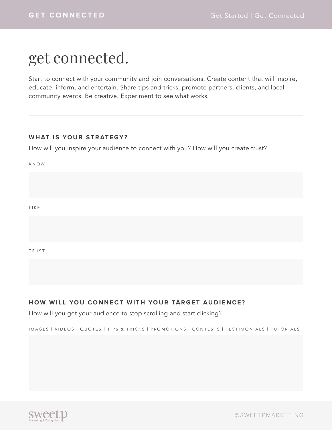### get connected.

Start to connect with your community and join conversations. Create content that will inspire, educate, inform, and entertain. Share tips and tricks, promote partners, clients, and local community events. Be creative. Experiment to see what works.

#### **WHAT IS YOUR STRATEGY?**

How will you inspire your audience to connect with you? How will you create trust?

KNOW

LIKE

TRUST

#### **HOW WILL YOU CONNECT WITH YOUR TARGET AUDIENCE?**

How will you get your audience to stop scrolling and start clicking?

IMAGES | VIDEOS | QUOTES | TIPS & TRICKS | PROMOTIONS | CONTESTS | TESTIMONIALS | TUTORIALS

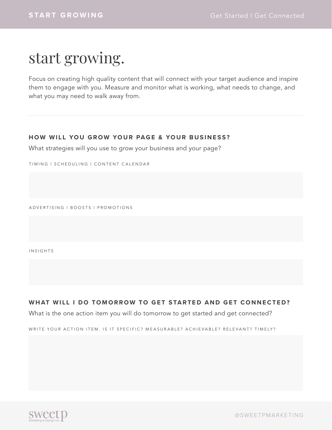### start growing.

Focus on creating high quality content that will connect with your target audience and inspire them to engage with you. Measure and monitor what is working, what needs to change, and what you may need to walk away from.

#### **HOW WILL YOU GROW YOUR PAGE & YOUR BUSINESS?**

What strategies will you use to grow your business and your page?

TIMING | SCHEDULING | CONTENT CALENDAR

ADVERTISING | BOOSTS | PROMOTIONS

INSIGHTS

WHAT WILL I DO TOMORROW TO GET STARTED AND GET CONNECTED?

What is the one action item you will do tomorrow to get started and get connected?

WRITE YOUR ACTION ITEM. IS IT SPECIFIC? MEASURABLE? ACHIEVABLE? RELEVANT? TIMELY?

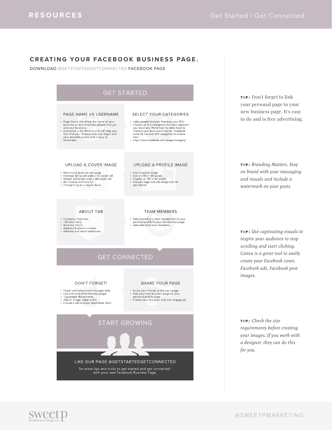#### **CREATING YOUR FACEBOOK BUSINESS PAGE.**

how to get started with a DOWNLOAD @GETSTARTEDGETCONNECTED FACEBOOK PAGE facebook business page.



LIKE OUR PAGE @GETSTARTEDGETCONNECTED for more tips and tricks to get started and get connected with your new Facebook Business Page.

tip: Don't forget to link your personal page to your new business page. It's easy to do and is free advertising.

tip: *Branding Matters. Stay on brand with your messaging and visuals and include a watermark on your posts.*

tip: *Use captivating visuals to inspire your audience to stop scrolling and start clicking. Canva is a great tool to easily create your Facebook cover, Facebook ads, Facebook post images.* 

tip: *Check the size requirements before creating your images. If you work with a designer, they can do this for you.*